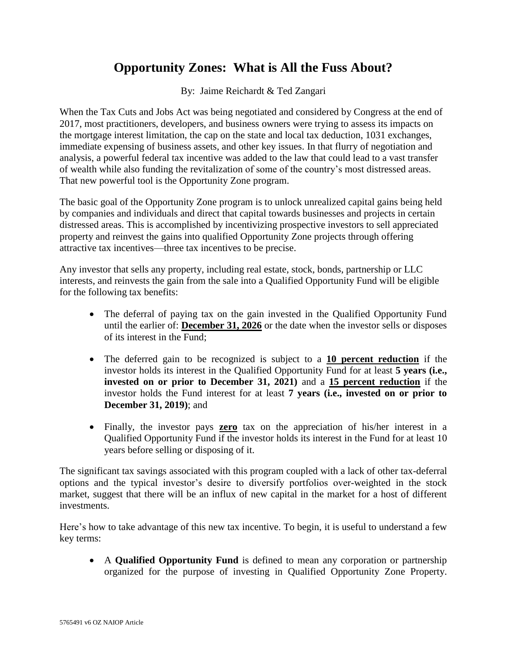## **Opportunity Zones: What is All the Fuss About?**

By: Jaime Reichardt & Ted Zangari

When the Tax Cuts and Jobs Act was being negotiated and considered by Congress at the end of 2017, most practitioners, developers, and business owners were trying to assess its impacts on the mortgage interest limitation, the cap on the state and local tax deduction, 1031 exchanges, immediate expensing of business assets, and other key issues. In that flurry of negotiation and analysis, a powerful federal tax incentive was added to the law that could lead to a vast transfer of wealth while also funding the revitalization of some of the country's most distressed areas. That new powerful tool is the Opportunity Zone program.

The basic goal of the Opportunity Zone program is to unlock unrealized capital gains being held by companies and individuals and direct that capital towards businesses and projects in certain distressed areas. This is accomplished by incentivizing prospective investors to sell appreciated property and reinvest the gains into qualified Opportunity Zone projects through offering attractive tax incentives—three tax incentives to be precise.

Any investor that sells any property, including real estate, stock, bonds, partnership or LLC interests, and reinvests the gain from the sale into a Qualified Opportunity Fund will be eligible for the following tax benefits:

- The deferral of paying tax on the gain invested in the Qualified Opportunity Fund until the earlier of: **December 31, 2026** or the date when the investor sells or disposes of its interest in the Fund;
- The deferred gain to be recognized is subject to a **10 percent reduction** if the investor holds its interest in the Qualified Opportunity Fund for at least **5 years (i.e., invested on or prior to December 31, 2021)** and a **15 percent reduction** if the investor holds the Fund interest for at least **7 years (i.e., invested on or prior to December 31, 2019)**; and
- Finally, the investor pays **zero** tax on the appreciation of his/her interest in a Qualified Opportunity Fund if the investor holds its interest in the Fund for at least 10 years before selling or disposing of it.

The significant tax savings associated with this program coupled with a lack of other tax-deferral options and the typical investor's desire to diversify portfolios over-weighted in the stock market, suggest that there will be an influx of new capital in the market for a host of different investments.

Here's how to take advantage of this new tax incentive. To begin, it is useful to understand a few key terms:

• A **Qualified Opportunity Fund** is defined to mean any corporation or partnership organized for the purpose of investing in Qualified Opportunity Zone Property.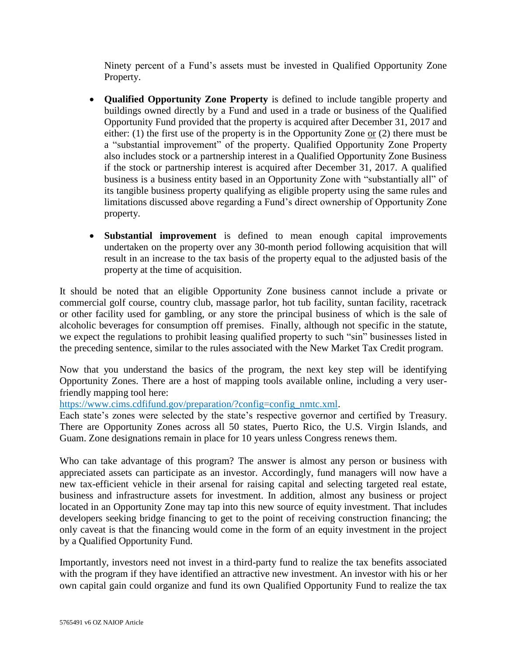Ninety percent of a Fund's assets must be invested in Qualified Opportunity Zone Property.

- **Qualified Opportunity Zone Property** is defined to include tangible property and buildings owned directly by a Fund and used in a trade or business of the Qualified Opportunity Fund provided that the property is acquired after December 31, 2017 and either: (1) the first use of the property is in the Opportunity Zone or (2) there must be a "substantial improvement" of the property. Qualified Opportunity Zone Property also includes stock or a partnership interest in a Qualified Opportunity Zone Business if the stock or partnership interest is acquired after December 31, 2017. A qualified business is a business entity based in an Opportunity Zone with "substantially all" of its tangible business property qualifying as eligible property using the same rules and limitations discussed above regarding a Fund's direct ownership of Opportunity Zone property.
- **Substantial improvement** is defined to mean enough capital improvements undertaken on the property over any 30-month period following acquisition that will result in an increase to the tax basis of the property equal to the adjusted basis of the property at the time of acquisition.

It should be noted that an eligible Opportunity Zone business cannot include a private or commercial golf course, country club, massage parlor, hot tub facility, suntan facility, racetrack or other facility used for gambling, or any store the principal business of which is the sale of alcoholic beverages for consumption off premises. Finally, although not specific in the statute, we expect the regulations to prohibit leasing qualified property to such "sin" businesses listed in the preceding sentence, similar to the rules associated with the New Market Tax Credit program.

Now that you understand the basics of the program, the next key step will be identifying Opportunity Zones. There are a host of mapping tools available online, including a very userfriendly mapping tool here:

[https://www.cims.cdfifund.gov/preparation/?config=config\\_nmtc.xml.](https://www.cims.cdfifund.gov/preparation/?config=config_nmtc.xml)

Each state's zones were selected by the state's respective governor and certified by Treasury. There are Opportunity Zones across all 50 states, Puerto Rico, the U.S. Virgin Islands, and Guam. Zone designations remain in place for 10 years unless Congress renews them.

Who can take advantage of this program? The answer is almost any person or business with appreciated assets can participate as an investor. Accordingly, fund managers will now have a new tax-efficient vehicle in their arsenal for raising capital and selecting targeted real estate, business and infrastructure assets for investment. In addition, almost any business or project located in an Opportunity Zone may tap into this new source of equity investment. That includes developers seeking bridge financing to get to the point of receiving construction financing; the only caveat is that the financing would come in the form of an equity investment in the project by a Qualified Opportunity Fund.

Importantly, investors need not invest in a third-party fund to realize the tax benefits associated with the program if they have identified an attractive new investment. An investor with his or her own capital gain could organize and fund its own Qualified Opportunity Fund to realize the tax